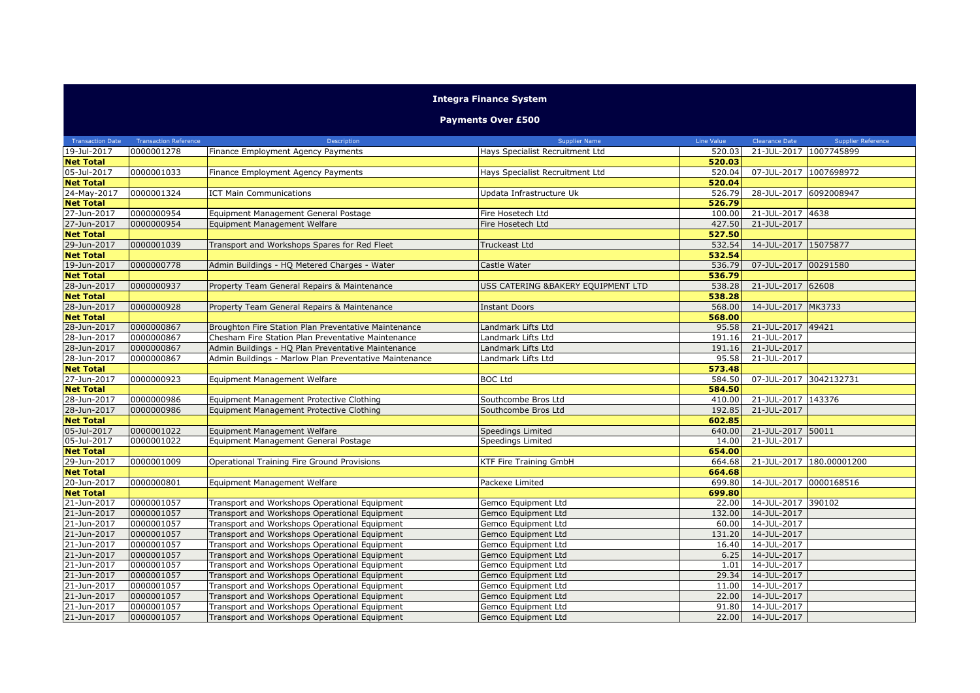## **Integra Finance System**

## **Payments Over £500**

|                  | Transaction Date Transaction Reference | Description                                            | <b>Supplier Name</b>               | Line Value | <b>Clearance Date</b>     | <b>Supplier Reference</b> |
|------------------|----------------------------------------|--------------------------------------------------------|------------------------------------|------------|---------------------------|---------------------------|
| 19-Jul-2017      | 0000001278                             | Finance Employment Agency Payments                     | Hays Specialist Recruitment Ltd    | 520.03     | 21-JUL-2017 1007745899    |                           |
| <b>Net Total</b> |                                        |                                                        |                                    | 520.03     |                           |                           |
| 05-Jul-2017      | 0000001033                             | Finance Employment Agency Payments                     | Hays Specialist Recruitment Ltd    | 520.04     | 07-JUL-2017 1007698972    |                           |
| <b>Net Total</b> |                                        |                                                        |                                    | 520.04     |                           |                           |
| 24-May-2017      | 0000001324                             | <b>ICT Main Communications</b>                         | Jpdata Infrastructure Uk           | 526.79     | 28-JUL-2017 6092008947    |                           |
| <b>Net Total</b> |                                        |                                                        |                                    | 526.79     |                           |                           |
| 27-Jun-2017      | 0000000954                             | Equipment Management General Postage                   | Fire Hosetech Ltd                  | 100.00     | 21-JUL-2017 4638          |                           |
| 27-Jun-2017      | 0000000954                             | Equipment Management Welfare                           | Fire Hosetech Ltd                  | 427.50     | 21-JUL-2017               |                           |
| <b>Net Total</b> |                                        |                                                        |                                    | 527.50     |                           |                           |
| 29-Jun-2017      | 0000001039                             | Transport and Workshops Spares for Red Fleet           | Truckeast Ltd                      | 532.54     | 14-JUL-2017 15075877      |                           |
| <b>Net Total</b> |                                        |                                                        |                                    | 532.54     |                           |                           |
| 19-Jun-2017      | 0000000778                             | Admin Buildings - HQ Metered Charges - Water           | Castle Water                       | 536.79     | 07-JUL-2017 00291580      |                           |
| <b>Net Total</b> |                                        |                                                        |                                    | 536.79     |                           |                           |
| 28-Jun-2017      | 0000000937                             | Property Team General Repairs & Maintenance            | USS CATERING &BAKERY EQUIPMENT LTD | 538.28     | 21-JUL-2017 62608         |                           |
| <b>Net Total</b> |                                        |                                                        |                                    | 538.28     |                           |                           |
| 28-Jun-2017      | 0000000928                             | Property Team General Repairs & Maintenance            | <b>Instant Doors</b>               | 568.00     | 14-JUL-2017 MK3733        |                           |
| <b>Net Total</b> |                                        |                                                        |                                    | 568.00     |                           |                           |
| 28-Jun-2017      | 0000000867                             | Broughton Fire Station Plan Preventative Maintenance   | Landmark Lifts Ltd                 | 95.58      | 21-JUL-2017 49421         |                           |
| 28-Jun-2017      | 0000000867                             | Chesham Fire Station Plan Preventative Maintenance     | Landmark Lifts Ltd                 | 191.16     | 21-JUL-2017               |                           |
| 28-Jun-2017      | 0000000867                             | Admin Buildings - HQ Plan Preventative Maintenance     | Landmark Lifts Ltd                 | 191.16     | 21-JUL-2017               |                           |
| 28-Jun-2017      | 0000000867                             | Admin Buildings - Marlow Plan Preventative Maintenance | Landmark Lifts Ltd                 | 95.58      | 21-JUL-2017               |                           |
| <b>Net Total</b> |                                        |                                                        |                                    | 573.48     |                           |                           |
| 27-Jun-2017      | 0000000923                             | Equipment Management Welfare                           | <b>BOC Ltd</b>                     | 584.50     | 07-JUL-2017 3042132731    |                           |
| <b>Net Total</b> |                                        |                                                        |                                    | 584.50     |                           |                           |
| 28-Jun-2017      | 0000000986                             | Equipment Management Protective Clothing               | Southcombe Bros Ltd                | 410.00     | 21-JUL-2017 143376        |                           |
| 28-Jun-2017      | 0000000986                             | Equipment Management Protective Clothing               | Southcombe Bros Ltd                | 192.85     | 21-JUL-2017               |                           |
| <b>Net Total</b> |                                        |                                                        |                                    | 602.85     |                           |                           |
| 05-Jul-2017      | 0000001022                             | Equipment Management Welfare                           | <b>Speedings Limited</b>           | 640.00     | 21-JUL-2017 50011         |                           |
| 05-Jul-2017      | 0000001022                             | Equipment Management General Postage                   | Speedings Limited                  | 14.00      | 21-JUL-2017               |                           |
| <b>Net Total</b> |                                        |                                                        |                                    | 654.00     |                           |                           |
| 29-Jun-2017      | 0000001009                             | Operational Training Fire Ground Provisions            | <b>KTF Fire Training GmbH</b>      | 664.68     |                           | 21-JUL-2017 180.00001200  |
| <b>Net Total</b> |                                        |                                                        |                                    | 664.68     |                           |                           |
| 20-Jun-2017      | 0000000801                             | Equipment Management Welfare                           | Packexe Limited                    | 699.80     | 14-JUL-2017 0000168516    |                           |
| <b>Net Total</b> |                                        |                                                        |                                    | 699.80     |                           |                           |
| 21-Jun-2017      | 0000001057                             | Transport and Workshops Operational Equipment          | Gemco Equipment Ltd                | 22.00      | 14-JUL-2017 390102        |                           |
| 21-Jun-2017      | 0000001057                             | Transport and Workshops Operational Equipment          | Gemco Equipment Ltd                | 132.00     | 14-JUL-2017               |                           |
| 21-Jun-2017      | 0000001057                             | Transport and Workshops Operational Equipment          | Gemco Equipment Ltd                | 60.00      | 14-JUL-2017               |                           |
| 21-Jun-2017      | 0000001057                             | Transport and Workshops Operational Equipment          | Gemco Equipment Ltd                | 131.20     | 14-JUL-2017               |                           |
| 21-Jun-2017      | 0000001057                             | Transport and Workshops Operational Equipment          | Gemco Equipment Ltd                | 16.40      | 14-JUL-2017               |                           |
| 21-Jun-2017      | 0000001057                             | Transport and Workshops Operational Equipment          | Gemco Equipment Ltd                | 6.25       | 14-JUL-2017               |                           |
| 21-Jun-2017      | 0000001057                             | Transport and Workshops Operational Equipment          | Gemco Equipment Ltd                | 1.01       | 14-JUL-2017               |                           |
| 21-Jun-2017      | 0000001057                             | Transport and Workshops Operational Equipment          | Gemco Equipment Ltd                | 29.34      | 14-JUL-2017               |                           |
| 21-Jun-2017      | 0000001057                             | Transport and Workshops Operational Equipment          | Gemco Equipment Ltd                | 11.00      | $\overline{14}$ -JUL-2017 |                           |
| 21-Jun-2017      | 0000001057                             | Transport and Workshops Operational Equipment          | Gemco Equipment Ltd                | 22.00      | 14-JUL-2017               |                           |
| 21-Jun-2017      | 0000001057                             | Transport and Workshops Operational Equipment          | Gemco Equipment Ltd                | 91.80      | 14-JUL-2017               |                           |
| 21-Jun-2017      | 0000001057                             | Transport and Workshops Operational Equipment          | Gemco Equipment Ltd                | 22.00      | 14-JUL-2017               |                           |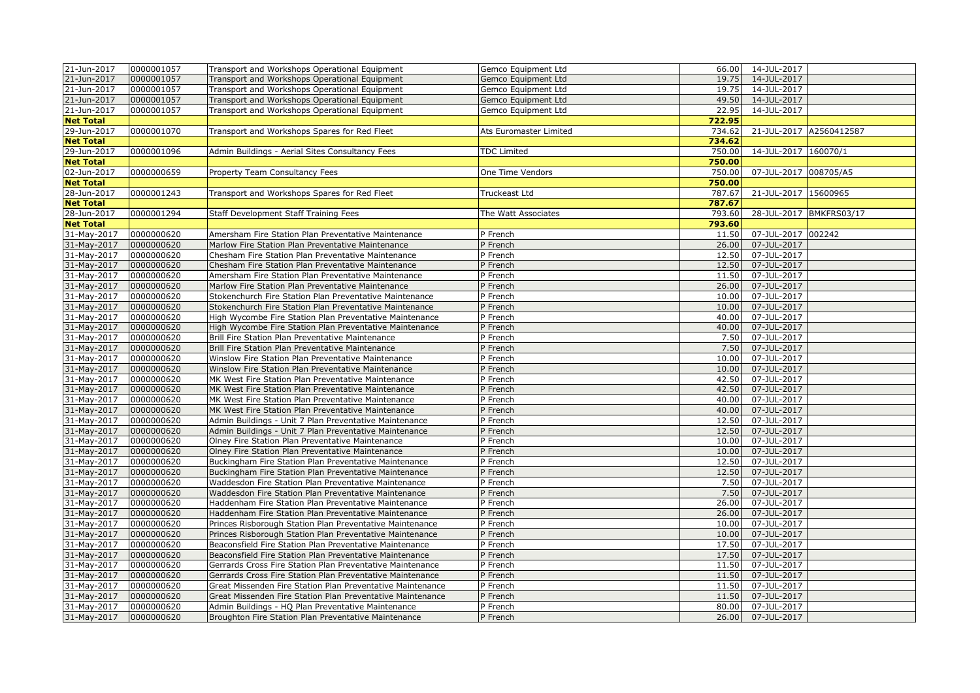| 21-Jun-2017      | 0000001057 | Transport and Workshops Operational Equipment              | Gemco Equipment Ltd    | 66.00  | 14-JUL-2017             |                         |
|------------------|------------|------------------------------------------------------------|------------------------|--------|-------------------------|-------------------------|
| 21-Jun-2017      | 0000001057 | Transport and Workshops Operational Equipment              | Gemco Equipment Ltd    | 19.75  | 14-JUL-2017             |                         |
| 21-Jun-2017      | 0000001057 | Transport and Workshops Operational Equipment              | Gemco Equipment Ltd    | 19.75  | 14-JUL-2017             |                         |
| 21-Jun-2017      | 0000001057 | Transport and Workshops Operational Equipment              | Gemco Equipment Ltd    | 49.50  | 14-JUL-2017             |                         |
| 21-Jun-2017      | 0000001057 | Transport and Workshops Operational Equipment              | Gemco Equipment Ltd    | 22.95  | 14-JUL-2017             |                         |
| <b>Net Total</b> |            |                                                            |                        | 722.95 |                         |                         |
| 29-Jun-2017      | 0000001070 | Transport and Workshops Spares for Red Fleet               | Ats Euromaster Limited | 734.62 |                         | 21-JUL-2017 A2560412587 |
| <b>Net Total</b> |            |                                                            |                        | 734.62 |                         |                         |
| 29-Jun-2017      | 0000001096 | Admin Buildings - Aerial Sites Consultancy Fees            | <b>TDC Limited</b>     | 750.00 | 14-JUL-2017 160070/1    |                         |
| <b>Net Total</b> |            |                                                            |                        | 750.00 |                         |                         |
| 02-Jun-2017      | 0000000659 | Property Team Consultancy Fees                             | One Time Vendors       | 750.00 | 07-JUL-2017 008705/A5   |                         |
| <b>Net Total</b> |            |                                                            |                        | 750.00 |                         |                         |
| 28-Jun-2017      | 0000001243 | Transport and Workshops Spares for Red Fleet               | Truckeast Ltd          | 787.67 | 21-JUL-2017 15600965    |                         |
| <b>Net Total</b> |            |                                                            |                        | 787.67 |                         |                         |
| 28-Jun-2017      | 0000001294 | Staff Development Staff Training Fees                      | The Watt Associates    | 793.60 | 28-JUL-2017 BMKFRS03/17 |                         |
| <b>Net Total</b> |            |                                                            |                        | 793.60 |                         |                         |
| 31-May-2017      | 0000000620 | Amersham Fire Station Plan Preventative Maintenance        | P French               | 11.50  | 07-JUL-2017 002242      |                         |
| 31-May-2017      | 0000000620 | Marlow Fire Station Plan Preventative Maintenance          | P French               | 26.00  | 07-JUL-2017             |                         |
| 31-May-2017      | 0000000620 | Chesham Fire Station Plan Preventative Maintenance         | P French               | 12.50  | 07-JUL-2017             |                         |
| 31-May-2017      | 0000000620 | Chesham Fire Station Plan Preventative Maintenance         | P French               | 12.50  | 07-JUL-2017             |                         |
| 31-May-2017      | 0000000620 | Amersham Fire Station Plan Preventative Maintenance        | P French               | 11.50  | 07-JUL-2017             |                         |
| 31-May-2017      | 0000000620 | Marlow Fire Station Plan Preventative Maintenance          | P French               | 26.00  | 07-JUL-2017             |                         |
| 31-May-2017      | 0000000620 | Stokenchurch Fire Station Plan Preventative Maintenance    | P French               | 10.00  | 07-JUL-2017             |                         |
| 31-May-2017      | 0000000620 | Stokenchurch Fire Station Plan Preventative Maintenance    | P French               | 10.00  | 07-JUL-2017             |                         |
| 31-May-2017      | 0000000620 | High Wycombe Fire Station Plan Preventative Maintenance    | P French               | 40.00  | 07-JUL-2017             |                         |
| 31-May-2017      | 0000000620 | High Wycombe Fire Station Plan Preventative Maintenance    | P French               | 40.00  | 07-JUL-2017             |                         |
| 31-May-2017      | 0000000620 | Brill Fire Station Plan Preventative Maintenance           | P French               | 7.50   | 07-JUL-2017             |                         |
| 31-May-2017      | 0000000620 | Brill Fire Station Plan Preventative Maintenance           | P French               | 7.50   | 07-JUL-2017             |                         |
| 31-May-2017      | 0000000620 | Winslow Fire Station Plan Preventative Maintenance         | P French               | 10.00  | 07-JUL-2017             |                         |
| 31-May-2017      | 0000000620 | Winslow Fire Station Plan Preventative Maintenance         | P French               | 10.00  | 07-JUL-2017             |                         |
| 31-May-2017      | 0000000620 | MK West Fire Station Plan Preventative Maintenance         | P French               | 42.50  | 07-JUL-2017             |                         |
| 31-May-2017      | 0000000620 | MK West Fire Station Plan Preventative Maintenance         | P French               | 42.50  | 07-JUL-2017             |                         |
| 31-May-2017      | 0000000620 | MK West Fire Station Plan Preventative Maintenance         | P French               | 40.00  | 07-JUL-2017             |                         |
| 31-May-2017      | 0000000620 | MK West Fire Station Plan Preventative Maintenance         | P French               | 40.00  | 07-JUL-2017             |                         |
| 31-May-2017      | 0000000620 | Admin Buildings - Unit 7 Plan Preventative Maintenance     | P French               | 12.50  | 07-JUL-2017             |                         |
| 31-May-2017      | 0000000620 | Admin Buildings - Unit 7 Plan Preventative Maintenance     | P French               | 12.50  | 07-JUL-2017             |                         |
| 31-May-2017      | 0000000620 | Olney Fire Station Plan Preventative Maintenance           | P French               | 10.00  | 07-JUL-2017             |                         |
| 31-May-2017      | 0000000620 | Olney Fire Station Plan Preventative Maintenance           | P French               | 10.00  | 07-JUL-2017             |                         |
| 31-May-2017      | 0000000620 | Buckingham Fire Station Plan Preventative Maintenance      | P French               | 12.50  | 07-JUL-2017             |                         |
| 31-May-2017      | 0000000620 | Buckingham Fire Station Plan Preventative Maintenance      | P French               | 12.50  | 07-JUL-2017             |                         |
| 31-May-2017      | 0000000620 | Waddesdon Fire Station Plan Preventative Maintenance       | P French               | 7.50   | 07-JUL-2017             |                         |
| 31-May-2017      | 0000000620 | Waddesdon Fire Station Plan Preventative Maintenance       | P French               | 7.50   | 07-JUL-2017             |                         |
| 31-May-2017      | 0000000620 | Haddenham Fire Station Plan Preventative Maintenance       | P French               | 26.00  | 07-JUL-2017             |                         |
| 31-May-2017      | 0000000620 | Haddenham Fire Station Plan Preventative Maintenance       | P French               | 26.00  | 07-JUL-2017             |                         |
| 31-May-2017      | 0000000620 | Princes Risborough Station Plan Preventative Maintenance   | P French               | 10.00  | 07-JUL-2017             |                         |
| 31-May-2017      | 0000000620 | Princes Risborough Station Plan Preventative Maintenance   | P French               | 10.00  | 07-JUL-2017             |                         |
| 31-May-2017      | 0000000620 | Beaconsfield Fire Station Plan Preventative Maintenance    | P French               | 17.50  | 07-JUL-2017             |                         |
| 31-May-2017      | 0000000620 | Beaconsfield Fire Station Plan Preventative Maintenance    | P French               | 17.50  | 07-JUL-2017             |                         |
| 31-May-2017      | 0000000620 | Gerrards Cross Fire Station Plan Preventative Maintenance  | P French               | 11.50  | 07-JUL-2017             |                         |
| 31-May-2017      | 0000000620 | Gerrards Cross Fire Station Plan Preventative Maintenance  | P French               | 11.50  | 07-JUL-2017             |                         |
| 31-May-2017      | 0000000620 | Great Missenden Fire Station Plan Preventative Maintenance | P French               | 11.50  | 07-JUL-2017             |                         |
| 31-May-2017      | 0000000620 | Great Missenden Fire Station Plan Preventative Maintenance | P French               | 11.50  | 07-JUL-2017             |                         |
| 31-May-2017      | 0000000620 | Admin Buildings - HQ Plan Preventative Maintenance         | P French               | 80.00  | 07-JUL-2017             |                         |
| 31-May-2017      | 0000000620 | Broughton Fire Station Plan Preventative Maintenance       | P French               |        | 26.00 07-JUL-2017       |                         |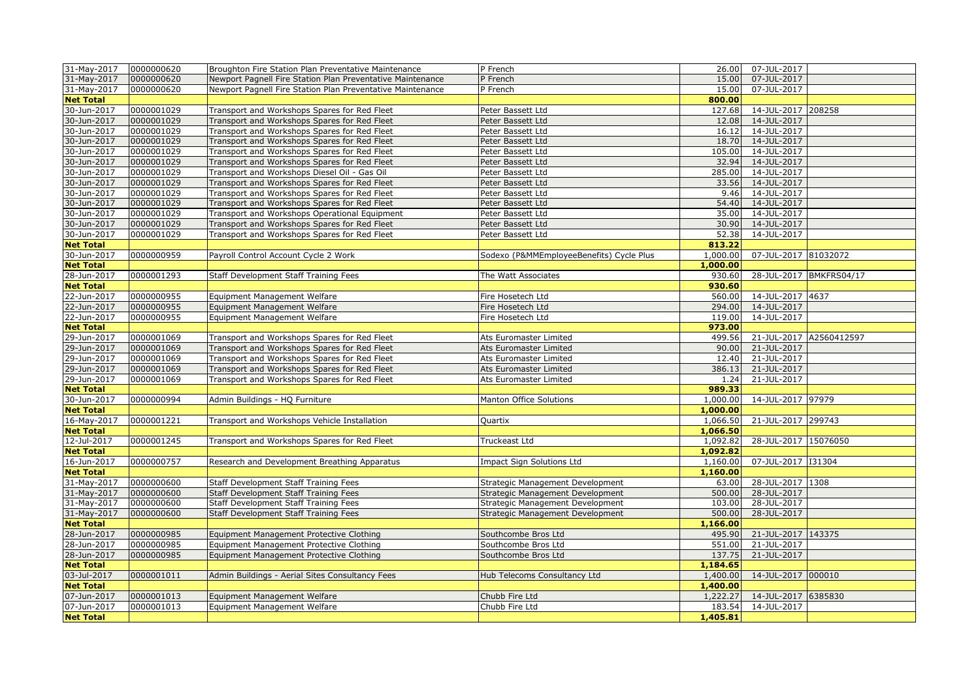| 31-May-2017                     | 0000000620               | Broughton Fire Station Plan Preventative Maintenance       | P French                                 | 26.00            | 07-JUL-2017                       |                         |
|---------------------------------|--------------------------|------------------------------------------------------------|------------------------------------------|------------------|-----------------------------------|-------------------------|
| 31-May-2017                     | 0000000620               | Newport Pagnell Fire Station Plan Preventative Maintenance | P French                                 | 15.00            | 07-JUL-2017                       |                         |
| 31-May-2017                     | 0000000620               | Newport Pagnell Fire Station Plan Preventative Maintenance | P French                                 | 15.00            | 07-JUL-2017                       |                         |
| <b>Net Total</b>                |                          |                                                            |                                          | 800.00           |                                   |                         |
| 30-Jun-2017                     | 0000001029               | Transport and Workshops Spares for Red Fleet               | Peter Bassett Ltd                        | 127.68           | 14-JUL-2017 208258                |                         |
| 30-Jun-2017                     | 0000001029               | Transport and Workshops Spares for Red Fleet               | Peter Bassett Ltd                        | 12.08            | 14-JUL-2017                       |                         |
| 30-Jun-2017                     | 0000001029               | Transport and Workshops Spares for Red Fleet               | Peter Bassett Ltd                        | 16.12            | 14-JUL-2017                       |                         |
| 30-Jun-2017                     | 0000001029               | Transport and Workshops Spares for Red Fleet               | Peter Bassett Ltd                        | 18.70            | 14-JUL-2017                       |                         |
| 30-Jun-2017                     | 0000001029               | Transport and Workshops Spares for Red Fleet               | Peter Bassett Ltd                        | 105.00           | 14-JUL-2017                       |                         |
| 30-Jun-2017                     | 0000001029               | Transport and Workshops Spares for Red Fleet               | Peter Bassett Ltd                        | 32.94            | 14-JUL-2017                       |                         |
| 30-Jun-2017                     | 0000001029               | Transport and Workshops Diesel Oil - Gas Oil               | Peter Bassett Ltd                        | 285.00           | 14-JUL-2017                       |                         |
| 30-Jun-2017                     | 0000001029               | Transport and Workshops Spares for Red Fleet               | Peter Bassett Ltd                        | 33.56            | 14-JUL-2017                       |                         |
| 30-Jun-2017                     | 0000001029               | Transport and Workshops Spares for Red Fleet               | Peter Bassett Ltd                        | 9.46             | 14-JUL-2017                       |                         |
| 30-Jun-2017                     | 0000001029               | Transport and Workshops Spares for Red Fleet               | Peter Bassett Ltd                        | 54.40            | 14-JUL-2017                       |                         |
| 30-Jun-2017                     | 0000001029               | Transport and Workshops Operational Equipment              | Peter Bassett Ltd                        | 35.00            | 14-JUL-2017                       |                         |
| 30-Jun-2017                     | 0000001029               | Transport and Workshops Spares for Red Fleet               | Peter Bassett Ltd                        | 30.90            | 14-JUL-2017                       |                         |
| 30-Jun-2017                     | 0000001029               | Transport and Workshops Spares for Red Fleet               | Peter Bassett Ltd                        | 52.38            | 14-JUL-2017                       |                         |
| <b>Net Total</b>                |                          |                                                            |                                          | 813.22           |                                   |                         |
| 30-Jun-2017                     | 0000000959               | Payroll Control Account Cycle 2 Work                       | Sodexo (P&MMEmployeeBenefits) Cycle Plus | 1,000.00         | 07-JUL-2017 81032072              |                         |
| <b>Net Total</b>                |                          |                                                            |                                          | 1,000.00         |                                   |                         |
| 28-Jun-2017                     | 0000001293               | Staff Development Staff Training Fees                      | The Watt Associates                      | 930.60           |                                   | 28-JUL-2017 BMKFRS04/17 |
| <b>Net Total</b>                |                          |                                                            |                                          | 930.60           |                                   |                         |
| 22-Jun-2017                     | 0000000955               | Equipment Management Welfare                               | Fire Hosetech Ltd                        | 560.00           | 14-JUL-2017 4637                  |                         |
| 22-Jun-2017                     | 0000000955               | Equipment Management Welfare                               | Fire Hosetech Ltd                        | 294.00           | 14-JUL-2017                       |                         |
| 22-Jun-2017                     | 0000000955               | Equipment Management Welfare                               | Fire Hosetech Ltd                        | 119.00           | 14-JUL-2017                       |                         |
| <b>Net Total</b>                |                          |                                                            |                                          | 973.00           |                                   |                         |
| 29-Jun-2017                     | 0000001069               | Transport and Workshops Spares for Red Fleet               | Ats Euromaster Limited                   | 499.56           |                                   | 21-JUL-2017 A2560412597 |
| 29-Jun-2017                     | 0000001069               | Transport and Workshops Spares for Red Fleet               | Ats Euromaster Limited                   | 90.00            | 21-JUL-2017                       |                         |
| 29-Jun-2017                     | 0000001069               | Transport and Workshops Spares for Red Fleet               | Ats Euromaster Limited                   | 12.40            | 21-JUL-2017                       |                         |
| 29-Jun-2017                     | 0000001069               | Transport and Workshops Spares for Red Fleet               | Ats Euromaster Limited                   | 386.13           | 21-JUL-2017                       |                         |
| 29-Jun-2017                     | 0000001069               | Transport and Workshops Spares for Red Fleet               | Ats Euromaster Limited                   | 1.24             | 21-JUL-2017                       |                         |
| <b>Net Total</b>                |                          |                                                            |                                          | 989.33           |                                   |                         |
| 30-Jun-2017                     | 0000000994               | Admin Buildings - HQ Furniture                             | Manton Office Solutions                  | 1,000.00         | 14-JUL-2017 97979                 |                         |
| <b>Net Total</b>                |                          |                                                            |                                          | 1,000.00         |                                   |                         |
| 16-May-2017                     | 0000001221               | Transport and Workshops Vehicle Installation               | Quartix                                  | 1,066.50         | 21-JUL-2017 299743                |                         |
| <b>Net Total</b>                |                          |                                                            |                                          | 1,066.50         |                                   |                         |
| 12-Jul-2017                     | 0000001245               | Transport and Workshops Spares for Red Fleet               | Truckeast Ltd                            | 1,092.82         | 28-JUL-2017 15076050              |                         |
| <b>Net Total</b>                |                          |                                                            |                                          | 1,092.82         |                                   |                         |
| 16-Jun-2017                     | 0000000757               | Research and Development Breathing Apparatus               | Impact Sign Solutions Ltd                | 1,160.00         | 07-JUL-2017 131304                |                         |
| <b>Net Total</b>                | 0000000600               |                                                            |                                          | 1,160.00         | 28-JUL-2017 1308                  |                         |
| 31-May-2017                     |                          | Staff Development Staff Training Fees                      | Strategic Management Development         | 63.00            |                                   |                         |
| 31-May-2017<br>31-May-2017      | 0000000600<br>0000000600 | Staff Development Staff Training Fees                      | Strategic Management Development         | 500.00<br>103.00 | 28-JUL-2017<br>28-JUL-2017        |                         |
|                                 | 0000000600               | Staff Development Staff Training Fees                      | Strategic Management Development         | 500.00           | 28-JUL-2017                       |                         |
| 31-May-2017<br><b>Net Total</b> |                          | Staff Development Staff Training Fees                      | Strategic Management Development         | 1,166,00         |                                   |                         |
|                                 |                          |                                                            |                                          |                  |                                   |                         |
| 28-Jun-2017<br>28-Jun-2017      | 0000000985<br>0000000985 | Equipment Management Protective Clothing                   | Southcombe Bros Ltd                      | 495.90<br>551.00 | 21-JUL-2017 143375<br>21-JUL-2017 |                         |
| 28-Jun-2017                     | 0000000985               | Equipment Management Protective Clothing                   | Southcombe Bros Ltd                      | 137.75           | 21-JUL-2017                       |                         |
| <b>Net Total</b>                |                          | Equipment Management Protective Clothing                   | Southcombe Bros Ltd                      | 1,184.65         |                                   |                         |
| 03-Jul-2017                     | 0000001011               |                                                            |                                          | 1,400.00         | 14-JUL-2017 000010                |                         |
| <b>Net Total</b>                |                          | Admin Buildings - Aerial Sites Consultancy Fees            | Hub Telecoms Consultancy Ltd             | 1,400.00         |                                   |                         |
| 07-Jun-2017                     | 0000001013               | Equipment Management Welfare                               | Chubb Fire Ltd                           | 1,222.27         | 14-JUL-2017 6385830               |                         |
| 07-Jun-2017                     | 0000001013               | Equipment Management Welfare                               | Chubb Fire Ltd                           | 183.54           | 14-JUL-2017                       |                         |
| <b>Net Total</b>                |                          |                                                            |                                          | 1,405.81         |                                   |                         |
|                                 |                          |                                                            |                                          |                  |                                   |                         |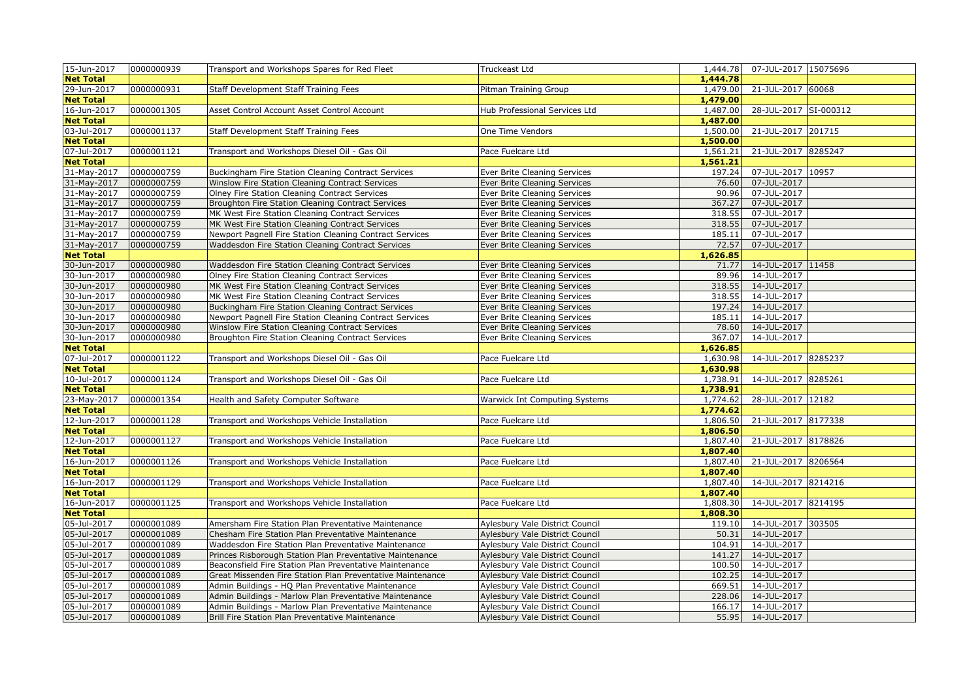| 15-Jun-2017                     | 0000000939 | Transport and Workshops Spares for Red Fleet                                                                     | Truckeast Ltd                                                      | 1,444.78        | 07-JUL-2017 15075696       |  |
|---------------------------------|------------|------------------------------------------------------------------------------------------------------------------|--------------------------------------------------------------------|-----------------|----------------------------|--|
| <b>Net Total</b>                |            |                                                                                                                  |                                                                    | 1,444.78        |                            |  |
| 29-Jun-2017                     | 0000000931 | Staff Development Staff Training Fees                                                                            | Pitman Training Group                                              |                 | 1,479.00 21-JUL-2017 60068 |  |
| <b>Net Total</b>                |            |                                                                                                                  |                                                                    | 1,479.00        |                            |  |
| 16-Jun-2017                     | 0000001305 | Asset Control Account Asset Control Account                                                                      | Hub Professional Services Ltd                                      | 1,487.00        | 28-JUL-2017 SI-000312      |  |
| <b>Net Total</b>                |            |                                                                                                                  |                                                                    | 1,487.00        |                            |  |
| 03-Jul-2017                     | 0000001137 | Staff Development Staff Training Fees                                                                            | One Time Vendors                                                   | 1,500.00        | 21-JUL-2017 201715         |  |
| <b>Net Total</b>                |            |                                                                                                                  |                                                                    | 1,500.00        |                            |  |
| 07-Jul-2017                     | 0000001121 | Transport and Workshops Diesel Oil - Gas Oil                                                                     | Pace Fuelcare Ltd                                                  | 1,561.21        | 21-JUL-2017 8285247        |  |
| <b>Net Total</b>                |            |                                                                                                                  |                                                                    | 1,561.21        |                            |  |
| 31-May-2017                     | 0000000759 | Buckingham Fire Station Cleaning Contract Services                                                               | Ever Brite Cleaning Services                                       | 197.24          | 07-JUL-2017 10957          |  |
| 31-May-2017                     | 0000000759 | Winslow Fire Station Cleaning Contract Services                                                                  | Ever Brite Cleaning Services                                       | 76.60           | 07-JUL-2017                |  |
| 31-May-2017                     | 0000000759 | Olney Fire Station Cleaning Contract Services                                                                    | Ever Brite Cleaning Services                                       | 90.96           | 07-JUL-2017                |  |
| 31-May-2017                     | 0000000759 | Broughton Fire Station Cleaning Contract Services                                                                | Ever Brite Cleaning Services                                       | 367.27          | 07-JUL-2017                |  |
| 31-May-2017                     | 0000000759 | MK West Fire Station Cleaning Contract Services                                                                  | Ever Brite Cleaning Services                                       | 318.55          | 07-JUL-2017                |  |
| 31-May-2017                     | 0000000759 | MK West Fire Station Cleaning Contract Services                                                                  | Ever Brite Cleaning Services                                       | 318.55          | 07-JUL-2017                |  |
| 31-May-2017                     | 0000000759 | Newport Pagnell Fire Station Cleaning Contract Services                                                          | Ever Brite Cleaning Services                                       | 185.11          | 07-JUL-2017                |  |
| 31-May-2017                     | 0000000759 | Waddesdon Fire Station Cleaning Contract Services                                                                | Ever Brite Cleaning Services                                       | 72.57           | 07-JUL-2017                |  |
| <b>Net Total</b>                |            |                                                                                                                  |                                                                    | 1,626.85        |                            |  |
| 30-Jun-2017                     | 0000000980 | Waddesdon Fire Station Cleaning Contract Services                                                                | Ever Brite Cleaning Services                                       | 71.77           | 14-JUL-2017 11458          |  |
| 30-Jun-2017                     | 0000000980 | Olney Fire Station Cleaning Contract Services                                                                    | Ever Brite Cleaning Services                                       | 89.96           | 14-JUL-2017                |  |
| 30-Jun-2017                     | 0000000980 | MK West Fire Station Cleaning Contract Services                                                                  | Ever Brite Cleaning Services                                       | 318.55          | 14-JUL-2017                |  |
| 30-Jun-2017                     | 0000000980 | MK West Fire Station Cleaning Contract Services                                                                  | Ever Brite Cleaning Services                                       | 318.55          | 14-JUL-2017                |  |
| 30-Jun-2017                     | 0000000980 | Buckingham Fire Station Cleaning Contract Services                                                               | Ever Brite Cleaning Services                                       | 197.24          | 14-JUL-2017                |  |
| 30-Jun-2017                     | 0000000980 | Newport Pagnell Fire Station Cleaning Contract Services                                                          | Ever Brite Cleaning Services                                       | 185.11          | 14-JUL-2017                |  |
| 30-Jun-2017                     | 0000000980 | Winslow Fire Station Cleaning Contract Services                                                                  | Ever Brite Cleaning Services                                       | 78.60           | 14-JUL-2017                |  |
| 30-Jun-2017                     | 0000000980 | Broughton Fire Station Cleaning Contract Services                                                                | Ever Brite Cleaning Services                                       | 367.07          | 14-JUL-2017                |  |
| <b>Net Total</b>                |            |                                                                                                                  |                                                                    | 1,626.85        |                            |  |
| 07-Jul-2017                     | 0000001122 | Transport and Workshops Diesel Oil - Gas Oil                                                                     | Pace Fuelcare Ltd                                                  | 1,630.98        | 14-JUL-2017 8285237        |  |
| <b>Net Total</b>                |            |                                                                                                                  |                                                                    | 1,630.98        |                            |  |
| 10-Jul-2017                     | 0000001124 | Transport and Workshops Diesel Oil - Gas Oil                                                                     | Pace Fuelcare Ltd                                                  | 1,738.91        | 14-JUL-2017 8285261        |  |
| <b>Net Total</b>                |            |                                                                                                                  |                                                                    | 1,738.91        |                            |  |
| 23-May-2017                     | 0000001354 | Health and Safety Computer Software                                                                              | <b>Warwick Int Computing Systems</b>                               | 1,774.62        | 28-JUL-2017 12182          |  |
| <b>Net Total</b>                |            |                                                                                                                  |                                                                    | 1,774.62        |                            |  |
| 12-Jun-2017                     | 0000001128 | Transport and Workshops Vehicle Installation                                                                     | Pace Fuelcare Ltd                                                  | 1,806.50        | 21-JUL-2017 8177338        |  |
| <b>Net Total</b>                |            |                                                                                                                  |                                                                    | 1,806.50        |                            |  |
| 12-Jun-2017                     | 0000001127 | Transport and Workshops Vehicle Installation                                                                     | Pace Fuelcare Ltd                                                  | 1,807.40        | 21-JUL-2017 8178826        |  |
| <b>Net Total</b>                |            |                                                                                                                  |                                                                    | 1,807.40        |                            |  |
| 16-Jun-2017                     | 0000001126 | Transport and Workshops Vehicle Installation                                                                     | Pace Fuelcare Ltd                                                  | 1,807.40        | 21-JUL-2017 8206564        |  |
| <b>Net Total</b>                |            |                                                                                                                  |                                                                    | 1,807.40        |                            |  |
| 16-Jun-2017                     | 0000001129 | Transport and Workshops Vehicle Installation                                                                     | Pace Fuelcare Ltd                                                  | 1,807.40        | 14-JUL-2017 8214216        |  |
| <b>Net Total</b>                |            |                                                                                                                  |                                                                    | 1,807.40        |                            |  |
| 16-Jun-2017<br><b>Net Total</b> | 0000001125 | Transport and Workshops Vehicle Installation                                                                     | Pace Fuelcare Ltd                                                  | 1,808.30        | 14-JUL-2017 8214195        |  |
|                                 | 0000001089 |                                                                                                                  |                                                                    | 1,808.30        | 14-JUL-2017 303505         |  |
| 05-Jul-2017                     | 0000001089 | Amersham Fire Station Plan Preventative Maintenance                                                              | Aylesbury Vale District Council                                    | 119.10<br>50.31 | 14-JUL-2017                |  |
| 05-Jul-2017<br>05-Jul-2017      | 0000001089 | Chesham Fire Station Plan Preventative Maintenance                                                               | Aylesbury Vale District Council                                    | 104.91          |                            |  |
| 05-Jul-2017                     | 0000001089 | Waddesdon Fire Station Plan Preventative Maintenance<br>Princes Risborough Station Plan Preventative Maintenance | Aylesbury Vale District Council<br>Aylesbury Vale District Council | 141.27          | 14-JUL-2017<br>14-JUL-2017 |  |
| 05-Jul-2017                     | 0000001089 | Beaconsfield Fire Station Plan Preventative Maintenance                                                          | Aylesbury Vale District Council                                    | 100.50          | 14-JUL-2017                |  |
| 05-Jul-2017                     | 0000001089 | Great Missenden Fire Station Plan Preventative Maintenance                                                       |                                                                    | 102.25          | 14-JUL-2017                |  |
| 05-Jul-2017                     | 0000001089 |                                                                                                                  | Aylesbury Vale District Council                                    | 669.51          | 14-JUL-2017                |  |
| 05-Jul-2017                     | 0000001089 | Admin Buildings - HQ Plan Preventative Maintenance<br>Admin Buildings - Marlow Plan Preventative Maintenance     | Aylesbury Vale District Council<br>Aylesbury Vale District Council | 228.06          | 14-JUL-2017                |  |
| 05-Jul-2017                     | 0000001089 | Admin Buildings - Marlow Plan Preventative Maintenance                                                           | Aylesbury Vale District Council                                    | 166.17          | 14-JUL-2017                |  |
| 05-Jul-2017                     | 0000001089 | Brill Fire Station Plan Preventative Maintenance                                                                 | Aylesbury Vale District Council                                    |                 | 55.95 14-JUL-2017          |  |
|                                 |            |                                                                                                                  |                                                                    |                 |                            |  |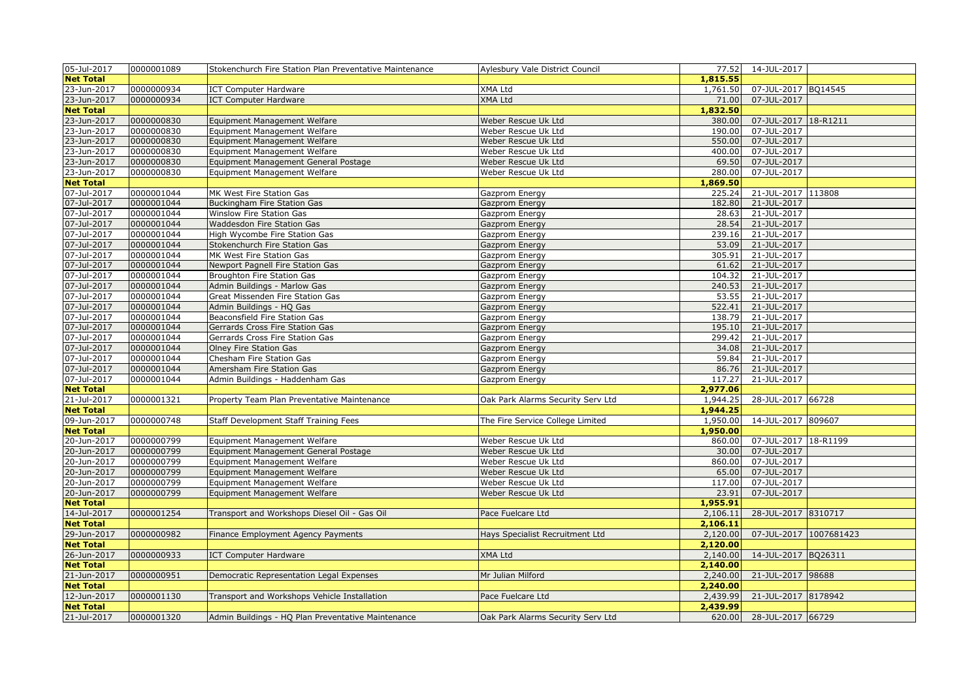| 05-Jul-2017                     | 0000001089 | Stokenchurch Fire Station Plan Preventative Maintenance | Aylesbury Vale District Council   | 77.52                | 14-JUL-2017            |  |
|---------------------------------|------------|---------------------------------------------------------|-----------------------------------|----------------------|------------------------|--|
| <b>Net Total</b>                |            |                                                         |                                   | 1,815.55             |                        |  |
| 23-Jun-2017                     | 0000000934 | <b>ICT Computer Hardware</b>                            | XMA Ltd                           | 1,761.50             | 07-JUL-2017 BQ14545    |  |
| 23-Jun-2017                     | 0000000934 | <b>ICT Computer Hardware</b>                            | XMA Ltd                           | 71.00                | 07-JUL-2017            |  |
| <b>Net Total</b>                |            |                                                         |                                   | 1,832.50             |                        |  |
| 23-Jun-2017                     | 0000000830 | Equipment Management Welfare                            | Weber Rescue Uk Ltd               | 380.00               | 07-JUL-2017 18-R1211   |  |
| 23-Jun-2017                     | 0000000830 | Equipment Management Welfare                            | Weber Rescue Uk Ltd               | 190.00               | 07-JUL-2017            |  |
| 23-Jun-2017                     | 0000000830 | Equipment Management Welfare                            | Weber Rescue Uk Ltd               | 550.00               | 07-JUL-2017            |  |
| 23-Jun-2017                     | 0000000830 | Equipment Management Welfare                            | Weber Rescue Uk Ltd               | 400.00               | 07-JUL-2017            |  |
| 23-Jun-2017                     | 0000000830 | Equipment Management General Postage                    | Weber Rescue Uk Ltd               | 69.50                | 07-JUL-2017            |  |
| 23-Jun-2017                     | 0000000830 | Equipment Management Welfare                            | Weber Rescue Uk Ltd               | 280.00               | 07-JUL-2017            |  |
| <b>Net Total</b>                |            |                                                         |                                   | 1,869.50             |                        |  |
| 07-Jul-2017                     | 0000001044 | MK West Fire Station Gas                                | Gazprom Energy                    | 225.24               | 21-JUL-2017 113808     |  |
| 07-Jul-2017                     | 0000001044 | Buckingham Fire Station Gas                             | Gazprom Energy                    | 182.80               | 21-JUL-2017            |  |
| 07-Jul-2017                     | 0000001044 | Winslow Fire Station Gas                                | Gazprom Energy                    | 28.63                | 21-JUL-2017            |  |
| 07-Jul-2017                     | 0000001044 | Waddesdon Fire Station Gas                              | Gazprom Energy                    | 28.54                | 21-JUL-2017            |  |
| 07-Jul-2017                     | 0000001044 | High Wycombe Fire Station Gas                           | Gazprom Energy                    | 239.16               | 21-JUL-2017            |  |
| 07-Jul-2017                     | 0000001044 | Stokenchurch Fire Station Gas                           | Gazprom Energy                    | 53.09                | 21-JUL-2017            |  |
| 07-Jul-2017                     | 0000001044 | MK West Fire Station Gas                                | Gazprom Energy                    | 305.91               | 21-JUL-2017            |  |
| 07-Jul-2017                     | 0000001044 | Newport Pagnell Fire Station Gas                        | Gazprom Energy                    | 61.62                | 21-JUL-2017            |  |
| 07-Jul-2017                     | 0000001044 | Broughton Fire Station Gas                              | Gazprom Energy                    | 104.32               | 21-JUL-2017            |  |
| 07-Jul-2017                     | 0000001044 | Admin Buildings - Marlow Gas                            | Gazprom Energy                    | 240.53               | 21-JUL-2017            |  |
| 07-Jul-2017                     | 0000001044 | Great Missenden Fire Station Gas                        | Gazprom Energy                    | 53.55                | 21-JUL-2017            |  |
| 07-Jul-2017                     | 0000001044 | Admin Buildings - HQ Gas                                | Gazprom Energy                    | 522.41               | 21-JUL-2017            |  |
| 07-Jul-2017                     | 0000001044 | Beaconsfield Fire Station Gas                           | Gazprom Energy                    | 138.79               | 21-JUL-2017            |  |
| 07-Jul-2017                     | 0000001044 | Gerrards Cross Fire Station Gas                         | Gazprom Energy                    | 195.10               | 21-JUL-2017            |  |
| 07-Jul-2017                     | 0000001044 | Gerrards Cross Fire Station Gas                         | Gazprom Energy                    | 299.42               | 21-JUL-2017            |  |
| 07-Jul-2017                     | 0000001044 | Olney Fire Station Gas                                  | Gazprom Energy                    | 34.08                | 21-JUL-2017            |  |
| 07-Jul-2017                     | 0000001044 | Chesham Fire Station Gas                                | Gazprom Energy                    | 59.84                | 21-JUL-2017            |  |
| 07-Jul-2017                     | 0000001044 | Amersham Fire Station Gas                               | Gazprom Energy                    | 86.76                | 21-JUL-2017            |  |
| 07-Jul-2017                     | 0000001044 | Admin Buildings - Haddenham Gas                         | Gazprom Energy                    | 117.27               | 21-JUL-2017            |  |
| <b>Net Total</b>                |            |                                                         |                                   | 2,977.06             |                        |  |
| 21-Jul-2017                     | 0000001321 | Property Team Plan Preventative Maintenance             | Oak Park Alarms Security Serv Ltd | 1,944.25             | 28-JUL-2017 66728      |  |
| <b>Net Total</b>                |            |                                                         |                                   | 1,944.25             |                        |  |
| 09-Jun-2017                     | 0000000748 | Staff Development Staff Training Fees                   | The Fire Service College Limited  | 1,950.00             | 14-JUL-2017 809607     |  |
| <b>Net Total</b>                |            |                                                         |                                   | 1,950.00             |                        |  |
| 20-Jun-2017                     | 0000000799 | Equipment Management Welfare                            | Weber Rescue Uk Ltd               | 860.00               | 07-JUL-2017 18-R1199   |  |
| 20-Jun-2017                     | 0000000799 | Equipment Management General Postage                    | Weber Rescue Uk Ltd               | 30.00                | 07-JUL-2017            |  |
| 20-Jun-2017                     | 0000000799 | Equipment Management Welfare                            | Weber Rescue Uk Ltd               | 860.00               | 07-JUL-2017            |  |
| 20-Jun-2017                     | 0000000799 | Equipment Management Welfare                            | Weber Rescue Uk Ltd               | 65.00                | 07-JUL-2017            |  |
| 20-Jun-2017                     | 0000000799 | Equipment Management Welfare                            | Weber Rescue Uk Ltd               | 117.00               | 07-JUL-2017            |  |
| 20-Jun-2017                     | 0000000799 | Equipment Management Welfare                            | Weber Rescue Uk Ltd               | 23.91                | 07-JUL-2017            |  |
| <b>Net Total</b>                |            |                                                         |                                   | 1,955.91             |                        |  |
| 14-Jul-2017                     | 0000001254 | Transport and Workshops Diesel Oil - Gas Oil            | Pace Fuelcare Ltd                 | 2,106.11             | 28-JUL-2017 8310717    |  |
| <b>Net Total</b>                |            |                                                         |                                   | 2,106.11             |                        |  |
| 29-Jun-2017                     | 0000000982 | Finance Employment Agency Payments                      | Hays Specialist Recruitment Ltd   | 2,120.00             | 07-JUL-2017 1007681423 |  |
| <b>Net Total</b>                |            |                                                         |                                   | 2,120.00             |                        |  |
| 26-Jun-2017                     | 0000000933 | <b>ICT Computer Hardware</b>                            | <b>XMA Ltd</b>                    | 2,140.00             | 14-JUL-2017 BQ26311    |  |
| <b>Net Total</b>                |            |                                                         |                                   | 2,140.00             |                        |  |
| 21-Jun-2017                     | 0000000951 | Democratic Representation Legal Expenses                | Mr Julian Milford                 | 2,240.00             | 21-JUL-2017 98688      |  |
| <b>Net Total</b><br>12-Jun-2017 | 0000001130 | Transport and Workshops Vehicle Installation            | Pace Fuelcare Ltd                 | 2,240.00<br>2,439.99 | 21-JUL-2017 8178942    |  |
| <b>Net Total</b>                |            |                                                         |                                   | 2,439.99             |                        |  |
| 21-Jul-2017                     | 0000001320 | Admin Buildings - HQ Plan Preventative Maintenance      | Oak Park Alarms Security Serv Ltd | 620.00               | 28-JUL-2017 66729      |  |
|                                 |            |                                                         |                                   |                      |                        |  |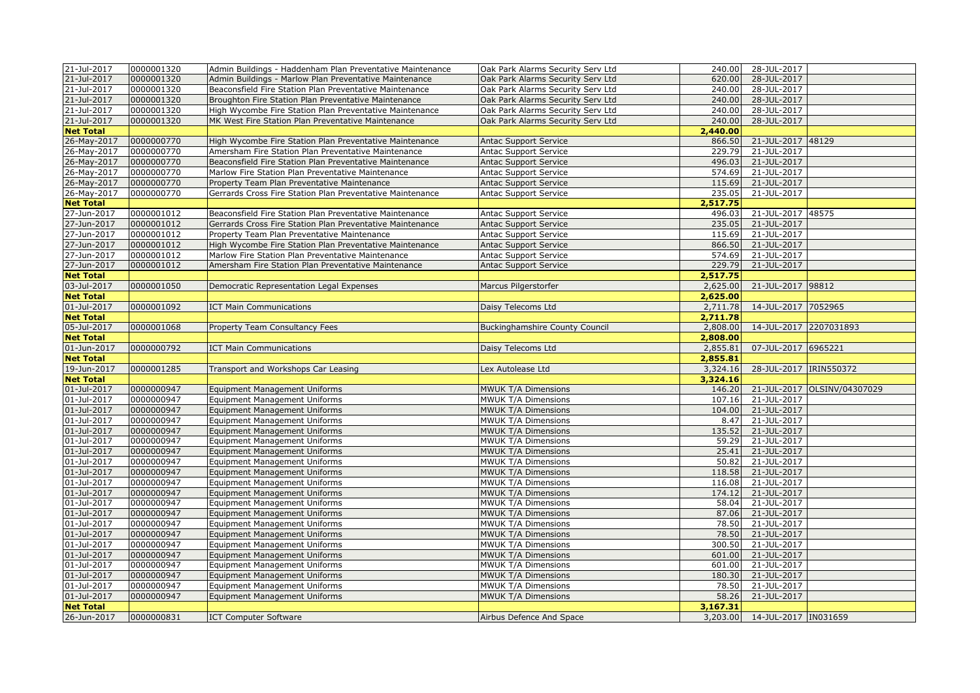| 21-Jul-2017      | 0000001320 | Admin Buildings - Haddenham Plan Preventative Maintenance | Oak Park Alarms Security Serv Ltd     | 240.00   | 28-JUL-2017                   |                             |
|------------------|------------|-----------------------------------------------------------|---------------------------------------|----------|-------------------------------|-----------------------------|
| 21-Jul-2017      | 0000001320 | Admin Buildings - Marlow Plan Preventative Maintenance    | Oak Park Alarms Security Serv Ltd     | 620.00   | 28-JUL-2017                   |                             |
| 21-Jul-2017      | 0000001320 | Beaconsfield Fire Station Plan Preventative Maintenance   | Oak Park Alarms Security Serv Ltd     | 240.00   | 28-JUL-2017                   |                             |
| 21-Jul-2017      | 0000001320 | Broughton Fire Station Plan Preventative Maintenance      | Oak Park Alarms Security Serv Ltd     | 240.00   | 28-JUL-2017                   |                             |
| 21-Jul-2017      | 0000001320 | High Wycombe Fire Station Plan Preventative Maintenance   | Oak Park Alarms Security Serv Ltd     | 240.00   | 28-JUL-2017                   |                             |
| 21-Jul-2017      | 0000001320 | MK West Fire Station Plan Preventative Maintenance        | Oak Park Alarms Security Serv Ltd     | 240.00   | 28-JUL-2017                   |                             |
| <b>Net Total</b> |            |                                                           |                                       | 2,440.00 |                               |                             |
| 26-May-2017      | 0000000770 | High Wycombe Fire Station Plan Preventative Maintenance   | <b>Antac Support Service</b>          | 866.50   | 21-JUL-2017 48129             |                             |
| 26-May-2017      | 0000000770 | Amersham Fire Station Plan Preventative Maintenance       | <b>Antac Support Service</b>          | 229.79   | 21-JUL-2017                   |                             |
| 26-May-2017      | 0000000770 | Beaconsfield Fire Station Plan Preventative Maintenance   | <b>Antac Support Service</b>          | 496.03   | 21-JUL-2017                   |                             |
| 26-May-2017      | 0000000770 | Marlow Fire Station Plan Preventative Maintenance         | <b>Antac Support Service</b>          | 574.69   | 21-JUL-2017                   |                             |
| 26-May-2017      | 0000000770 | Property Team Plan Preventative Maintenance               | <b>Antac Support Service</b>          | 115.69   | 21-JUL-2017                   |                             |
| 26-May-2017      | 0000000770 | Gerrards Cross Fire Station Plan Preventative Maintenance | <b>Antac Support Service</b>          | 235.05   | 21-JUL-2017                   |                             |
| <b>Net Total</b> |            |                                                           |                                       | 2,517.75 |                               |                             |
| 27-Jun-2017      | 0000001012 | Beaconsfield Fire Station Plan Preventative Maintenance   | <b>Antac Support Service</b>          | 496.03   | 21-JUL-2017 48575             |                             |
| 27-Jun-2017      | 0000001012 | Gerrards Cross Fire Station Plan Preventative Maintenance | <b>Antac Support Service</b>          | 235.05   | 21-JUL-2017                   |                             |
| 27-Jun-2017      | 0000001012 | Property Team Plan Preventative Maintenance               | <b>Antac Support Service</b>          | 115.69   | 21-JUL-2017                   |                             |
| 27-Jun-2017      | 0000001012 | High Wycombe Fire Station Plan Preventative Maintenance   | <b>Antac Support Service</b>          | 866.50   | 21-JUL-2017                   |                             |
| 27-Jun-2017      | 0000001012 | Marlow Fire Station Plan Preventative Maintenance         | Antac Support Service                 | 574.69   | 21-JUL-2017                   |                             |
| 27-Jun-2017      | 0000001012 | Amersham Fire Station Plan Preventative Maintenance       | Antac Support Service                 | 229.79   | 21-JUL-2017                   |                             |
| <b>Net Total</b> |            |                                                           |                                       | 2,517.75 |                               |                             |
| 03-Jul-2017      | 0000001050 | Democratic Representation Legal Expenses                  | Marcus Pilgerstorfer                  | 2,625.00 | 21-JUL-2017 98812             |                             |
| <b>Net Total</b> |            |                                                           |                                       | 2,625.00 |                               |                             |
| 01-Jul-2017      | 0000001092 | <b>ICT Main Communications</b>                            | Daisy Telecoms Ltd                    | 2,711.78 | 14-JUL-2017 7052965           |                             |
| <b>Net Total</b> |            |                                                           |                                       | 2,711.78 |                               |                             |
| 05-Jul-2017      | 0000001068 | Property Team Consultancy Fees                            | <b>Buckinghamshire County Council</b> | 2,808.00 | 14-JUL-2017 2207031893        |                             |
| <b>Net Total</b> |            |                                                           |                                       | 2,808.00 |                               |                             |
| 01-Jun-2017      | 0000000792 | <b>ICT Main Communications</b>                            | Daisy Telecoms Ltd                    | 2,855.81 | 07-JUL-2017 6965221           |                             |
| <b>Net Total</b> |            |                                                           |                                       | 2,855.81 |                               |                             |
| 19-Jun-2017      | 0000001285 | Transport and Workshops Car Leasing                       | Lex Autolease Ltd                     | 3,324.16 | 28-JUL-2017   IRIN550372      |                             |
| <b>Net Total</b> |            |                                                           |                                       | 3,324.16 |                               |                             |
| 01-Jul-2017      | 0000000947 | <b>Equipment Management Uniforms</b>                      | MWUK T/A Dimensions                   | 146.20   |                               | 21-JUL-2017 OLSINV/04307029 |
| 01-Jul-2017      | 0000000947 | Equipment Management Uniforms                             | MWUK T/A Dimensions                   | 107.16   | 21-JUL-2017                   |                             |
| 01-Jul-2017      | 0000000947 | <b>Equipment Management Uniforms</b>                      | MWUK T/A Dimensions                   | 104.00   | 21-JUL-2017                   |                             |
| 01-Jul-2017      | 0000000947 | <b>Equipment Management Uniforms</b>                      | MWUK T/A Dimensions                   | 8.47     | 21-JUL-2017                   |                             |
| 01-Jul-2017      | 0000000947 | Equipment Management Uniforms                             | MWUK T/A Dimensions                   | 135.52   | 21-JUL-2017                   |                             |
| 01-Jul-2017      | 0000000947 | Equipment Management Uniforms                             | MWUK T/A Dimensions                   | 59.29    | 21-JUL-2017                   |                             |
| 01-Jul-2017      | 0000000947 | <b>Equipment Management Uniforms</b>                      | MWUK T/A Dimensions                   | 25.41    | 21-JUL-2017                   |                             |
| 01-Jul-2017      | 0000000947 | <b>Equipment Management Uniforms</b>                      | MWUK T/A Dimensions                   | 50.82    | 21-JUL-2017                   |                             |
| 01-Jul-2017      | 0000000947 | Equipment Management Uniforms                             | MWUK T/A Dimensions                   | 118.58   | 21-JUL-2017                   |                             |
| 01-Jul-2017      | 0000000947 | <b>Equipment Management Uniforms</b>                      | MWUK T/A Dimensions                   | 116.08   | 21-JUL-2017                   |                             |
| 01-Jul-2017      | 0000000947 | Equipment Management Uniforms                             | MWUK T/A Dimensions                   | 174.12   | 21-JUL-2017                   |                             |
| 01-Jul-2017      | 0000000947 | <b>Equipment Management Uniforms</b>                      | MWUK T/A Dimensions                   | 58.04    | 21-JUL-2017                   |                             |
| 01-Jul-2017      | 0000000947 | <b>Equipment Management Uniforms</b>                      | MWUK T/A Dimensions                   | 87.06    | 21-JUL-2017                   |                             |
| 01-Jul-2017      | 0000000947 | Equipment Management Uniforms                             | MWUK T/A Dimensions                   | 78.50    | 21-JUL-2017                   |                             |
| 01-Jul-2017      | 0000000947 | Equipment Management Uniforms                             | MWUK T/A Dimensions                   |          | 78.50 21-JUL-2017             |                             |
| 01-Jul-2017      | 0000000947 | Equipment Management Uniforms                             | MWUK T/A Dimensions                   | 300.50   | 21-JUL-2017                   |                             |
| 01-Jul-2017      | 0000000947 | <b>Equipment Management Uniforms</b>                      | MWUK T/A Dimensions                   | 601.00   | 21-JUL-2017                   |                             |
| 01-Jul-2017      | 0000000947 | <b>Equipment Management Uniforms</b>                      | MWUK T/A Dimensions                   | 601.00   | 21-JUL-2017                   |                             |
| 01-Jul-2017      | 0000000947 | Equipment Management Uniforms                             | <b>MWUK T/A Dimensions</b>            | 180.30   | 21-JUL-2017                   |                             |
| 01-Jul-2017      | 0000000947 | Equipment Management Uniforms                             | MWUK T/A Dimensions                   | 78.50    | 21-JUL-2017                   |                             |
| 01-Jul-2017      | 0000000947 | <b>Equipment Management Uniforms</b>                      | MWUK T/A Dimensions                   | 58.26    | 21-JUL-2017                   |                             |
| <b>Net Total</b> |            |                                                           |                                       | 3,167.31 |                               |                             |
| 26-Jun-2017      | 0000000831 | <b>ICT Computer Software</b>                              | Airbus Defence And Space              |          | 3,203.00 14-JUL-2017 IN031659 |                             |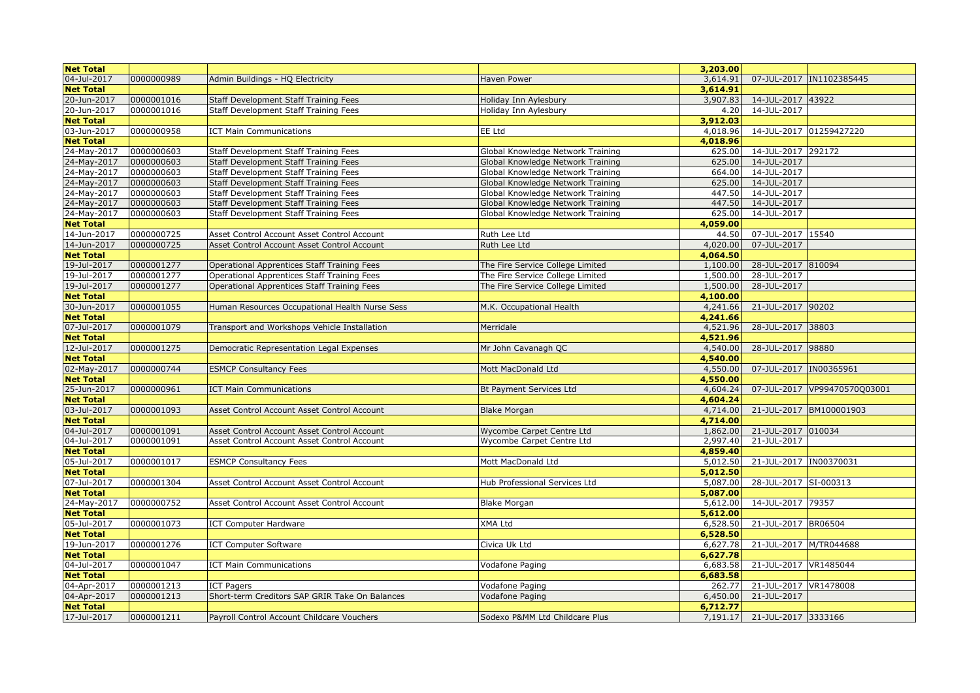| <b>Net Total</b> |            |                                                |                                   | 3,203.00 |                              |                              |
|------------------|------------|------------------------------------------------|-----------------------------------|----------|------------------------------|------------------------------|
| 04-Jul-2017      | 0000000989 | Admin Buildings - HQ Electricity               | <b>Haven Power</b>                | 3,614.91 |                              | 07-JUL-2017  IN1102385445    |
| <b>Net Total</b> |            |                                                |                                   | 3,614.91 |                              |                              |
| 20-Jun-2017      | 0000001016 | Staff Development Staff Training Fees          | Holiday Inn Aylesbury             | 3,907.83 | 14-JUL-2017 43922            |                              |
| 20-Jun-2017      | 0000001016 | Staff Development Staff Training Fees          | Holiday Inn Aylesbury             | 4.20     | 14-JUL-2017                  |                              |
| <b>Net Total</b> |            |                                                |                                   | 3,912.03 |                              |                              |
| 03-Jun-2017      | 0000000958 | <b>ICT Main Communications</b>                 | EE Ltd                            | 4,018.96 | 14-JUL-2017 01259427220      |                              |
| <b>Net Total</b> |            |                                                |                                   | 4,018.96 |                              |                              |
| 24-May-2017      | 0000000603 | Staff Development Staff Training Fees          | Global Knowledge Network Training | 625.00   | 14-JUL-2017 292172           |                              |
| 24-May-2017      | 0000000603 | Staff Development Staff Training Fees          | Global Knowledge Network Training | 625.00   | 14-JUL-2017                  |                              |
| 24-May-2017      | 0000000603 | Staff Development Staff Training Fees          | Global Knowledge Network Training | 664.00   | 14-JUL-2017                  |                              |
| 24-May-2017      | 0000000603 | Staff Development Staff Training Fees          | Global Knowledge Network Training | 625.00   | 14-JUL-2017                  |                              |
| 24-May-2017      | 0000000603 | Staff Development Staff Training Fees          | Global Knowledge Network Training | 447.50   | 14-JUL-2017                  |                              |
| 24-May-2017      | 0000000603 | Staff Development Staff Training Fees          | Global Knowledge Network Training | 447.50   | 14-JUL-2017                  |                              |
| 24-May-2017      | 0000000603 | Staff Development Staff Training Fees          | Global Knowledge Network Training | 625.00   | 14-JUL-2017                  |                              |
| <b>Net Total</b> |            |                                                |                                   | 4,059.00 |                              |                              |
| 14-Jun-2017      | 0000000725 | Asset Control Account Asset Control Account    | Ruth Lee Ltd                      | 44.50    | 07-JUL-2017 15540            |                              |
| 14-Jun-2017      | 0000000725 | Asset Control Account Asset Control Account    | Ruth Lee Ltd                      | 4,020.00 | 07-JUL-2017                  |                              |
| <b>Net Total</b> |            |                                                |                                   | 4,064.50 |                              |                              |
| 19-Jul-2017      | 0000001277 | Operational Apprentices Staff Training Fees    | The Fire Service College Limited  | 1,100.00 | 28-JUL-2017 810094           |                              |
| 19-Jul-2017      | 0000001277 | Operational Apprentices Staff Training Fees    | The Fire Service College Limited  | 1,500.00 | 28-JUL-2017                  |                              |
| 19-Jul-2017      | 0000001277 | Operational Apprentices Staff Training Fees    | The Fire Service College Limited  | 1,500.00 | 28-JUL-2017                  |                              |
| <b>Net Total</b> |            |                                                |                                   | 4,100.00 |                              |                              |
| 30-Jun-2017      | 0000001055 | Human Resources Occupational Health Nurse Sess | M.K. Occupational Health          | 4,241.66 | 21-JUL-2017 90202            |                              |
| <b>Net Total</b> |            |                                                |                                   | 4,241.66 |                              |                              |
| 07-Jul-2017      | 0000001079 | Transport and Workshops Vehicle Installation   | Merridale                         | 4,521.96 | 28-JUL-2017 38803            |                              |
| <b>Net Total</b> |            |                                                |                                   | 4,521.96 |                              |                              |
| 12-Jul-2017      | 0000001275 | Democratic Representation Legal Expenses       | Mr John Cavanagh QC               | 4,540.00 | 28-JUL-2017 98880            |                              |
| <b>Net Total</b> |            |                                                |                                   | 4,540,00 |                              |                              |
| 02-May-2017      | 0000000744 | <b>ESMCP Consultancy Fees</b>                  | Mott MacDonald Ltd                | 4,550.00 | 07-JUL-2017  IN00365961      |                              |
| <b>Net Total</b> |            |                                                |                                   | 4,550.00 |                              |                              |
| 25-Jun-2017      | 0000000961 | <b>ICT Main Communications</b>                 | <b>Bt Payment Services Ltd</b>    | 4,604.24 |                              | 07-JUL-2017 VP99470570Q03001 |
| <b>Net Total</b> |            |                                                |                                   | 4,604.24 |                              |                              |
| 03-Jul-2017      | 0000001093 | Asset Control Account Asset Control Account    | <b>Blake Morgan</b>               | 4,714.00 |                              | 21-JUL-2017 BM100001903      |
| <b>Net Total</b> |            |                                                |                                   | 4,714.00 |                              |                              |
| 04-Jul-2017      | 0000001091 | Asset Control Account Asset Control Account    | Wycombe Carpet Centre Ltd         | 1,862.00 | 21-JUL-2017 010034           |                              |
| 04-Jul-2017      | 0000001091 | Asset Control Account Asset Control Account    | Wycombe Carpet Centre Ltd         | 2,997.40 | 21-JUL-2017                  |                              |
| <b>Net Total</b> |            |                                                |                                   | 4,859.40 |                              |                              |
| 05-Jul-2017      | 0000001017 | <b>ESMCP Consultancy Fees</b>                  | Mott MacDonald Ltd                | 5,012.50 | 21-JUL-2017 IN00370031       |                              |
| <b>Net Total</b> |            |                                                |                                   | 5,012.50 |                              |                              |
| 07-Jul-2017      | 0000001304 | Asset Control Account Asset Control Account    | Hub Professional Services Ltd     | 5,087.00 | 28-JUL-2017 SI-000313        |                              |
| <b>Net Total</b> |            |                                                |                                   | 5,087,00 |                              |                              |
| 24-May-2017      | 0000000752 | Asset Control Account Asset Control Account    | <b>Blake Morgan</b>               | 5,612.00 | 14-JUL-2017 79357            |                              |
| <b>Net Total</b> |            |                                                |                                   | 5,612.00 |                              |                              |
| 05-Jul-2017      | 0000001073 | <b>ICT Computer Hardware</b>                   | XMA Ltd                           | 6,528.50 | 21-JUL-2017 BR06504          |                              |
| <b>Net Total</b> |            |                                                |                                   | 6,528.50 |                              |                              |
| 19-Jun-2017      | 0000001276 | <b>ICT Computer Software</b>                   | Civica Uk Ltd                     | 6,627.78 | 21-JUL-2017 M/TR044688       |                              |
| <b>Net Total</b> |            |                                                |                                   | 6,627.78 |                              |                              |
| 04-Jul-2017      | 0000001047 | <b>ICT Main Communications</b>                 | Vodafone Paging                   | 6,683.58 | 21-JUL-2017 VR1485044        |                              |
| <b>Net Total</b> |            |                                                |                                   | 6,683.58 |                              |                              |
| 04-Apr-2017      | 0000001213 | <b>ICT Pagers</b>                              | Vodafone Paging                   | 262.77   | 21-JUL-2017 VR1478008        |                              |
| 04-Apr-2017      | 0000001213 | Short-term Creditors SAP GRIR Take On Balances | Vodafone Paging                   | 6,450.00 | 21-JUL-2017                  |                              |
| <b>Net Total</b> |            |                                                |                                   | 6,712.77 |                              |                              |
| 17-Jul-2017      | 0000001211 | Payroll Control Account Childcare Vouchers     | Sodexo P&MM Ltd Childcare Plus    |          | 7,191.17 21-JUL-2017 3333166 |                              |